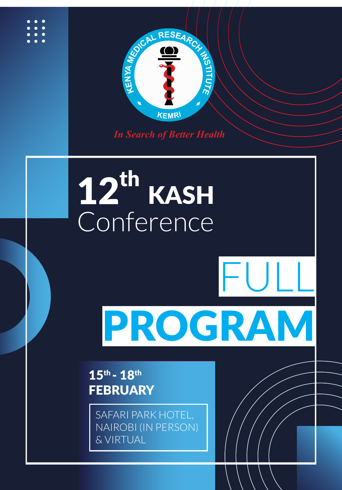

*In Search of Better Health*

## Conte 12<sup>th</sup> KASH Conference

## PROGRAM

*Disseminating Health Research* 17

FULL

 $15<sup>th</sup> - 18<sup>th</sup>$ **FEBRUARY** 

> SAFARI PARK HOTEL, NAIROBI (IN PERSON) & VIRTUAL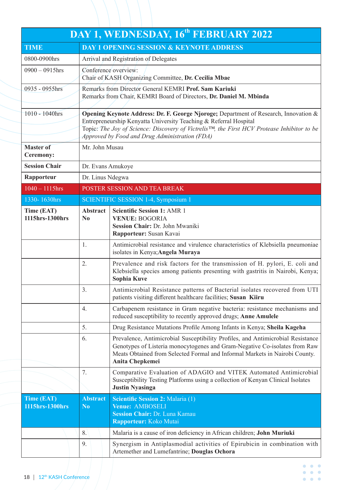|                                      |                                   | DAY 1, WEDNESDAY, 16 <sup>th</sup> FEBRUARY 2022                                                                                                                                                                                                                                                          |
|--------------------------------------|-----------------------------------|-----------------------------------------------------------------------------------------------------------------------------------------------------------------------------------------------------------------------------------------------------------------------------------------------------------|
| <b>TIME</b>                          |                                   | <b>DAY 1 OPENING SESSION &amp; KEYNOTE ADDRESS</b>                                                                                                                                                                                                                                                        |
| 0800-0900hrs                         |                                   | Arrival and Registration of Delegates                                                                                                                                                                                                                                                                     |
| $0900 - 0915$ hrs                    |                                   | Conference overview:<br>Chair of KASH Organizing Committee, Dr. Cecilia Mbae                                                                                                                                                                                                                              |
| 0935 - 0955hrs                       |                                   | Remarks from Director General KEMRI Prof. Sam Kariuki<br>Remarks from Chair, KEMRI Board of Directors, Dr. Daniel M. Mbinda                                                                                                                                                                               |
| 1010 - 1040hrs                       |                                   | Opening Keynote Address: Dr. F. George Njoroge; Department of Research, Innovation &<br>Entrepreneurship Kenyatta University Teaching & Referral Hospital<br>Topic: The Joy of Science: Discovery of Victrelis™, the First HCV Protease Inhibitor to be<br>Approved by Food and Drug Administration (FDA) |
| <b>Master of</b><br><b>Ceremony:</b> | Mr. John Musau                    |                                                                                                                                                                                                                                                                                                           |
| <b>Session Chair</b>                 | Dr. Evans Amukoye                 |                                                                                                                                                                                                                                                                                                           |
| Rapporteur                           | Dr. Linus Ndegwa                  |                                                                                                                                                                                                                                                                                                           |
| $1040 - 1115$ hrs                    |                                   | POSTER SESSION AND TEA BREAK                                                                                                                                                                                                                                                                              |
| 1330-1630hrs                         |                                   | SCIENTIFIC SESSION 1-4, Symposium 1                                                                                                                                                                                                                                                                       |
| Time (EAT)<br>1115hrs-1300hrs        | <b>Abstract</b><br>N <sub>0</sub> | <b>Scientific Session 1: AMR 1</b><br><b>VENUE: BOGORIA</b><br>Session Chair: Dr. John Mwaniki<br>Rapporteur: Susan Kavai                                                                                                                                                                                 |
|                                      | 1.                                | Antimicrobial resistance and virulence characteristics of Klebsiella pneumoniae<br>isolates in Kenya; Angela Muraya                                                                                                                                                                                       |
|                                      | 2.                                | Prevalence and risk factors for the transmission of H. pylori, E. coli and<br>Klebsiella species among patients presenting with gastritis in Nairobi, Kenya;<br>Sophia Kuve                                                                                                                               |
|                                      | 3.                                | Antimicrobial Resistance patterns of Bacterial isolates recovered from UTI<br>patients visiting different healthcare facilities; Susan Kiiru                                                                                                                                                              |
|                                      | 4.                                | Carbapenem resistance in Gram negative bacteria: resistance mechanisms and<br>reduced susceptibility to recently approved drugs; Anne Amulele                                                                                                                                                             |
|                                      | 5.                                | Drug Resistance Mutations Profile Among Infants in Kenya; Sheila Kageha                                                                                                                                                                                                                                   |
|                                      | 6.                                | Prevalence, Antimicrobial Susceptibility Profiles, and Antimicrobial Resistance<br>Genotypes of Listeria monocytogenes and Gram-Negative Co-isolates from Raw<br>Meats Obtained from Selected Formal and Informal Markets in Nairobi County.<br>Anita Chepkemei                                           |
|                                      | 7.                                | Comparative Evaluation of ADAGIO and VITEK Automated Antimicrobial<br>Susceptibility Testing Platforms using a collection of Kenyan Clinical Isolates<br><b>Justin Nyasinga</b>                                                                                                                           |
| Time (EAT)<br>1115hrs-1300hrs        | <b>Abstract</b><br>N <sub>0</sub> | <b>Scientific Session 2: Malaria (1)</b><br>Venue: AMBOSELI<br><b>Session Chair: Dr. Luna Kamau</b><br>Rapporteur: Koko Mutai                                                                                                                                                                             |
|                                      | 8.                                | Malaria is a cause of iron deficiency in African children; John Muriuki                                                                                                                                                                                                                                   |
|                                      | 9.                                | Synergism in Antiplasmodial activities of Epirubicin in combination with<br>Artemether and Lumefantrine; Douglas Ochora                                                                                                                                                                                   |
|                                      |                                   | $\bullet\hspace{0.1cm} \bullet\hspace{0.1cm} \bullet\hspace{0.1cm} \bullet$                                                                                                                                                                                                                               |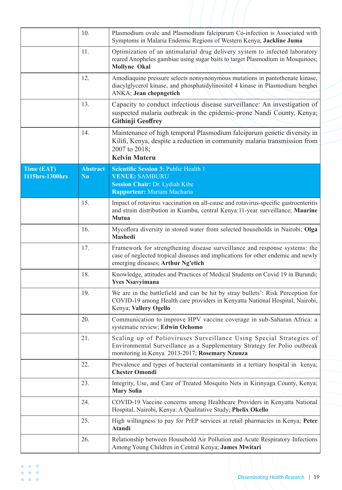|                 | 10.             | Plasmodium ovale and Plasmodium falciparum Co-infection is Associated with<br>Symptoms in Malaria Endemic Regions of Western Kenya; Jackline Juma                                                    |
|-----------------|-----------------|------------------------------------------------------------------------------------------------------------------------------------------------------------------------------------------------------|
|                 | 11.             | Optimization of an antimalarial drug delivery system to infected laboratory<br>reared Anopheles gambiae using sugar baits to target Plasmodium in Mosquitoes;<br><b>Mollyne Okal</b>                 |
|                 | 12.             | Amodiaquine pressure selects nonsynonymous mutations in pantothenate kinase,<br>diacylglycerol kinase, and phosphatidylinositol 4 kinase in Plasmodium berghei<br>ANKA; Jean chepngetich             |
|                 | 13.             | Capacity to conduct infectious disease surveillance: An investigation of<br>suspected malaria outbreak in the epidemic-prone Nandi County, Kenya;<br><b>Githinji Geoffrey</b>                        |
|                 | 14.             | Maintenance of high temporal Plasmodium falciparum genetic diversity in<br>Kilifi, Kenya, despite a reduction in community malaria transmission from<br>2007 to 2018;<br><b>Kelvin Muteru</b>        |
| Time (EAT)      | <b>Abstract</b> | <b>Scientific Session 3: Public Health 1</b>                                                                                                                                                         |
| 1115hrs-1300hrs | N <sub>0</sub>  | <b>VENUE: SAMBURU</b><br>Session Chair: Dr. Lydiah Kibe<br>Rapporteur: Mariam Macharia                                                                                                               |
|                 | 15.             | Impact of rotavirus vaccination on all-cause and rotavirus-specific gastroenteritis<br>and strain distribution in Kiambu, central Kenya:11-year surveillance; Maurine<br><b>Mutua</b>                |
|                 | 16.             | Mycoflora diversity in stored water from selected households in Nairobi; Olga<br><b>Mashedi</b>                                                                                                      |
|                 | 17.             | Framework for strengthening disease surveillance and response systems: the<br>case of neglected tropical diseases and implications for other endemic and newly<br>emerging diseases; Arthur Ng'etich |
|                 | 18.             | Knowledge, attitudes and Practices of Medical Students on Covid 19 in Burundi;<br><b>Yves Nsavyimana</b>                                                                                             |
|                 | 19.             | We are in the battlefield and can be hit by stray bullets': Risk Perception for<br>COVID-19 among Health care providers in Kenyatta National Hospital, Nairobi,<br>Kenya; Vallery Ogello             |
|                 | 20.             | Communication to improve HPV vaccine coverage in sub-Saharan Africa: a<br>systematic review; Edwin Ochomo                                                                                            |
|                 | 21.             | Scaling up of Polioviruses Surveillance Using Special Strategies of<br>Environmental Surveillance as a Supplementary Strategy for Polio outbreak<br>monitoring in Kenya 2013-2017; Rosemary Nzunza   |
|                 | 22.             | Prevalence and types of bacterial contaminants in a tertiary hospital in kenya;<br><b>Chester Omondi</b>                                                                                             |
|                 | 23.             | Integrity, Use, and Care of Treated Mosquito Nets in Kirinyaga County, Kenya;<br><b>Mary Sofia</b>                                                                                                   |
|                 | 24.             | COVID-19 Vaccine concerns among Healthcare Providers in Kenyatta National<br>Hospital, Nairobi, Kenya: A Qualitative Study; Phelix Okello                                                            |
|                 | 25.             | High willingness to pay for PrEP services at retail pharmacies in Kenya; Peter<br><b>Atandi</b>                                                                                                      |
|                 | 26.             | Relationship between Household Air Pollution and Acute Respiratory Infections<br>Among Young Children in Central Kenya; James Mwitari                                                                |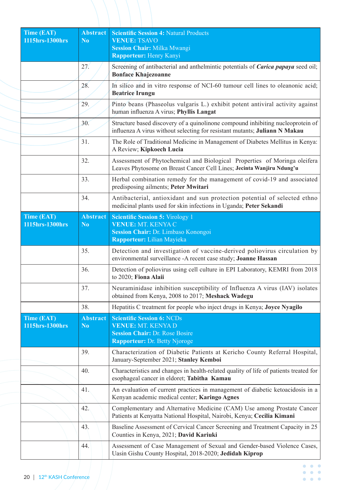| Time (EAT)                    | <b>Abstract</b>                   | <b>Scientific Session 4: Natural Products</b>                                                                                                                 |
|-------------------------------|-----------------------------------|---------------------------------------------------------------------------------------------------------------------------------------------------------------|
| 1115hrs-1300hrs               | $\bf N_0$                         | <b>VENUE: TSAVO</b><br><b>Session Chair: Milka Mwangi</b><br><b>Rapporteur: Henry Kanyi</b>                                                                   |
|                               | 27 <sub>1</sub>                   | Screening of antibacterial and anthelmintic potentials of <i>Carica papaya</i> seed oil;<br><b>Bonface Khajezoanne</b>                                        |
|                               | 28.                               | In silico and in vitro response of NCI-60 tumour cell lines to oleanonic acid;<br><b>Beatrice Irungu</b>                                                      |
|                               | 29.                               | Pinto beans (Phaseolus vulgaris L.) exhibit potent antiviral activity against<br>human influenza A virus; Phyllis Langat                                      |
|                               | 30.                               | Structure based discovery of a quinolinone compound inhibiting nucleoprotein of<br>influenza A virus without selecting for resistant mutants; Juliann N Makau |
|                               | 31.                               | The Role of Traditional Medicine in Management of Diabetes Mellitus in Kenya:<br>A Review; Kipkoech Lucia                                                     |
|                               | 32.                               | Assessment of Phytochemical and Biological Properties of Moringa oleifera<br>Leaves Phytosome on Breast Cancer Cell Lines; Jecinta Wanjiru Ndung'u            |
|                               | 33.                               | Herbal combination remedy for the management of covid-19 and associated<br>predisposing ailments; Peter Mwitari                                               |
|                               | 34.                               | Antibacterial, antioxidant and sun protection potential of selected ethno<br>medicinal plants used for skin infections in Uganda; Peter Sekandi               |
| Time (EAT)                    | <b>Abstract</b>                   | <b>Scientific Session 5: Virology 1</b>                                                                                                                       |
| 1115hrs-1300hrs               | N <sub>0</sub>                    | <b>VENUE: MT. KENYA C</b><br>Session Chair: Dr. Limbaso Konongoi<br>Rapporteur: Lilian Mayieka                                                                |
|                               | 35.                               | Detection and investigation of vaccine-derived poliovirus circulation by<br>environmental surveillance -A recent case study; Joanne Hassan                    |
|                               | 36.                               | Detection of poliovirus using cell culture in EPI Laboratory, KEMRI from 2018<br>to 2020; Fiona Alaii                                                         |
|                               | 37.                               | Neuraminidase inhibition susceptibility of Influenza A virus (IAV) isolates<br>obtained from Kenya, 2008 to 2017; Meshack Wadegu                              |
|                               | 38.                               | Hepatitis C treatment for people who inject drugs in Kenya; Joyce Nyagilo                                                                                     |
| Time (EAT)<br>1115hrs-1300hrs | <b>Abstract</b><br>N <sub>0</sub> | <b>Scientific Session 6: NCDs</b><br><b>VENUE: MT. KENYA D</b><br><b>Session Chair: Dr. Rose Bosire</b><br><b>Rapporteur: Dr. Betty Njoroge</b>               |
|                               | 39.                               | Characterization of Diabetic Patients at Kericho County Referral Hospital,<br>January-September 2021; Stanley Kemboi                                          |
|                               | 40.                               | Characteristics and changes in health-related quality of life of patients treated for<br>esophageal cancer in eldoret; Tabitha Kamau                          |
|                               | 41.                               | An evaluation of current practices in management of diabetic ketoacidosis in a<br>Kenyan academic medical center; Karingo Agnes                               |
|                               | 42.                               | Complementary and Alternative Medicine (CAM) Use among Prostate Cancer<br>Patients at Kenyatta National Hospital, Nairobi, Kenya; Cecilia Kimani              |
|                               | 43.                               | Baseline Assessment of Cervical Cancer Screening and Treatment Capacity in 25<br>Counties in Kenya, 2021; David Kariuki                                       |
|                               | 44.                               | Assessment of Case Management of Sexual and Gender-based Violence Cases,<br>Uasin Gishu County Hospital, 2018-2020; Jedidah Kiprop                            |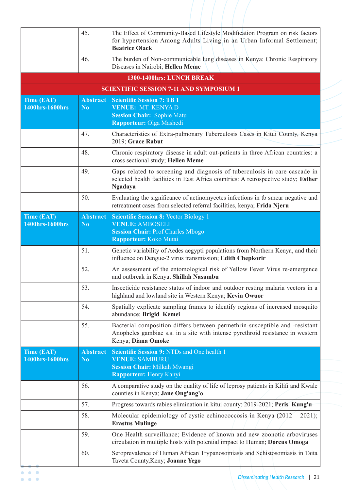|                                      | 45.                               | The Effect of Community-Based Lifestyle Modification Program on risk factors<br>for hypertension Among Adults Living in an Urban Informal Settlement;<br><b>Beatrice Olack</b>      |
|--------------------------------------|-----------------------------------|-------------------------------------------------------------------------------------------------------------------------------------------------------------------------------------|
|                                      | 46.                               | The burden of Non-communicable lung diseases in Kenya: Chronic Respiratory<br>Diseases in Nairobi; Hellen Meme                                                                      |
|                                      |                                   | 1300-1400hrs: LUNCH BREAK                                                                                                                                                           |
|                                      |                                   | <b>SCIENTIFIC SESSION 7-11 AND SYMPOSIUM 1</b>                                                                                                                                      |
| Time (EAT)<br>1400hrs-1600hrs        | <b>Abstract</b><br>N <sub>0</sub> | <b>Scientific Session 7: TB 1</b><br><b>VENUE: MT. KENYA D</b><br><b>Session Chair: Sophie Matu</b><br>Rapporteur: Olga Mashedi                                                     |
|                                      | 47.                               | Characteristics of Extra-pulmonary Tuberculosis Cases in Kitui County, Kenya<br>2019; Grace Rabut                                                                                   |
|                                      | 48.                               | Chronic respiratory disease in adult out-patients in three African countries: a<br>cross sectional study; Hellen Meme                                                               |
|                                      | 49.                               | Gaps related to screening and diagnosis of tuberculosis in care cascade in<br>selected health facilities in East Africa countries: A retrospective study; Esther<br><b>Ngadaya</b>  |
|                                      | 50.                               | Evaluating the significance of actinomycetes infections in tb smear negative and<br>retreatment cases from selected referral facilities, kenya; Frida Njeru                         |
| <b>Time (EAT)</b><br>1400hrs-1600hrs | <b>Abstract</b><br>N <sub>0</sub> | <b>Scientific Session 8: Vector Biology 1</b><br><b>VENUE: AMBOSELI</b><br><b>Session Chair: Prof Charles Mbogo</b><br><b>Rapporteur: Koko Mutai</b>                                |
|                                      | 51.                               | Genetic variability of Aedes aegypti populations from Northern Kenya, and their<br>influence on Dengue-2 virus transmission; Edith Chepkorir                                        |
|                                      | 52.                               | An assessment of the entomological risk of Yellow Fever Virus re-emergence<br>and outbreak in Kenya; Shillah Nasambu                                                                |
|                                      | 53.                               | Insecticide resistance status of indoor and outdoor resting malaria vectors in a<br>highland and lowland site in Western Kenya; Kevin Owuor                                         |
|                                      | 54.                               | Spatially explicate sampling frames to identify regions of increased mosquito<br>abundance; Brigid Kemei                                                                            |
|                                      | 55.                               | Bacterial composition differs between permethrin-susceptible and -resistant<br>Anopheles gambiae s.s. in a site with intense pyrethroid resistance in western<br>Kenya; Diana Omoke |
| Time (EAT)<br>1400hrs-1600hrs        | <b>Abstract</b><br>N <sub>0</sub> | <b>Scientific Session 9: NTDs and One health 1</b><br><b>VENUE: SAMBURU</b><br><b>Session Chair: Milkah Mwangi</b><br><b>Rapporteur: Henry Kanyi</b>                                |
|                                      | 56.                               | A comparative study on the quality of life of leprosy patients in Kilifi and Kwale<br>counties in Kenya; Jane Ong'ang'o                                                             |
|                                      | 57.                               | Progress towards rabies elimination in kitui county: 2019-2021; Peris Kung'u                                                                                                        |
|                                      | 58.                               | Molecular epidemiology of cystic echinococcosis in Kenya $(2012 - 2021)$ ;<br><b>Erastus Mulinge</b>                                                                                |
|                                      | 59.                               | One Health surveillance; Evidence of known and new zoonotic arboviruses<br>circulation in multiple hosts with potential impact to Human; Dorcus Omoga                               |
|                                      | 60.                               | Seroprevalence of Human African Trypanosomiasis and Schistosomiasis in Taita<br>Taveta County, Keny; Joanne Yego                                                                    |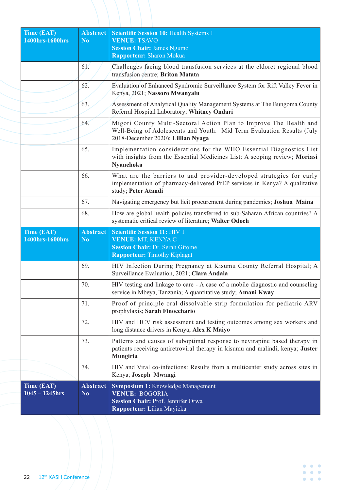| Time (EAT)<br>1400hrs-1600hrs        | <b>Abstract</b><br>N <sub>0</sub> | Scientific Session 10: Health Systems 1<br><b>VENUE: TSAVO</b><br><b>Session Chair: James Ngumo</b><br>Rapporteur: Sharon Mokua                                                    |
|--------------------------------------|-----------------------------------|------------------------------------------------------------------------------------------------------------------------------------------------------------------------------------|
|                                      | 61.                               | Challenges facing blood transfusion services at the eldoret regional blood<br>transfusion centre; Briton Matata                                                                    |
|                                      | 62.                               | Evaluation of Enhanced Syndromic Surveillance System for Rift Valley Fever in<br>Kenya, 2021; Nassoro Mwanyalu                                                                     |
|                                      | 63.                               | Assessment of Analytical Quality Management Systems at The Bungoma County<br>Referral Hospital Laboratory; Whitney Ondari                                                          |
|                                      | 64.                               | Migori County Multi-Sectoral Action Plan to Improve The Health and<br>Well-Being of Adolescents and Youth: Mid Term Evaluation Results (July<br>2018-December 2020); Lillian Nyaga |
|                                      | 65.                               | Implementation considerations for the WHO Essential Diagnostics List<br>with insights from the Essential Medicines List: A scoping review; Moriasi<br>Nyanchoka                    |
|                                      | 66.                               | What are the barriers to and provider-developed strategies for early<br>implementation of pharmacy-delivered PrEP services in Kenya? A qualitative<br>study; Peter Atandi          |
|                                      | 67.                               | Navigating emergency but licit procurement during pandemics; Joshua Maina                                                                                                          |
|                                      | 68.                               | How are global health policies transferred to sub-Saharan African countries? A<br>systematic critical review of literature; Walter Odoch                                           |
| <b>Time (EAT)</b><br>1400hrs-1600hrs | <b>Abstract</b><br>N <sub>0</sub> | <b>Scientific Session 11: HIV 1</b><br><b>VENUE: MT. KENYA C</b><br><b>Session Chair: Dr. Serah Gitome</b><br><b>Rapporteur: Timothy Kiplagat</b>                                  |
|                                      | 69.                               | HIV Infection During Pregnancy at Kisumu County Referral Hospital; A<br>Surveillance Evaluation, 2021; Clara Andala                                                                |
|                                      | 70.                               | HIV testing and linkage to care - A case of a mobile diagnostic and counseling<br>service in Mbeya, Tanzania; A quantitative study; Amani Kway                                     |
|                                      | 71.                               | Proof of principle oral dissolvable strip formulation for pediatric ARV<br>prophylaxis; Sarah Finocchario                                                                          |
|                                      | 72.                               | HIV and HCV risk assessment and testing outcomes among sex workers and<br>long distance drivers in Kenya; Alex K Maiyo                                                             |
|                                      | 73.                               | Patterns and causes of suboptimal response to nevirapine based therapy in<br>patients receiving antiretroviral therapy in kisumu and malindi, kenya; Juster<br>Mungiria            |
|                                      | 74.                               | HIV and Viral co-infections: Results from a multicenter study across sites in<br>Kenya; Joseph Mwangi                                                                              |
| Time (EAT)<br>$1045 - 1245$ hrs      | <b>Abstract</b><br>N <sub>0</sub> | Symposium 1: Knowledge Management<br><b>VENUE: BOGORIA</b><br><b>Session Chair: Prof. Jennifer Orwa</b><br>Rapporteur: Lilian Mayieka                                              |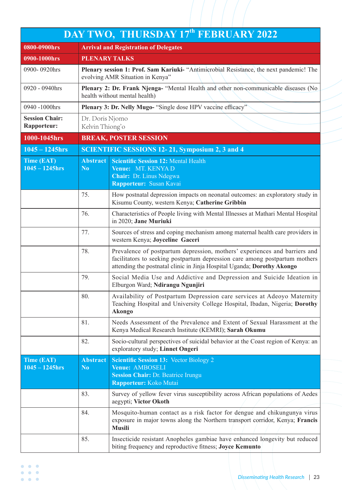|                                      |                                    | DAY TWO, THURSDAY 17th FEBRUARY 2022                                                                                                                                                                                                 |
|--------------------------------------|------------------------------------|--------------------------------------------------------------------------------------------------------------------------------------------------------------------------------------------------------------------------------------|
| 0800-0900hrs                         |                                    | <b>Arrival and Registration of Delegates</b>                                                                                                                                                                                         |
| 0900-1000hrs                         | <b>PLENARY TALKS</b>               |                                                                                                                                                                                                                                      |
| 0900-0920hrs                         |                                    | Plenary session 1: Prof. Sam Kariuki- "Antimicrobial Resistance, the next pandemic! The<br>evolving AMR Situation in Kenya"                                                                                                          |
| 0920 - 0940hrs                       |                                    | Plenary 2: Dr. Frank Njenga- "Mental Health and other non-communicable diseases (No<br>health without mental health)                                                                                                                 |
| 0940 -1000hrs                        |                                    | Plenary 3: Dr. Nelly Mugo- "Single dose HPV vaccine efficacy"                                                                                                                                                                        |
| <b>Session Chair:</b><br>Rapporteur: | Dr. Doris Njomo<br>Kelvin Thiong'o |                                                                                                                                                                                                                                      |
| 1000-1045hrs                         |                                    | <b>BREAK, POSTER SESSION</b>                                                                                                                                                                                                         |
| $1045 - 1245$ hrs                    |                                    | <b>SCIENTIFIC SESSIONS 12-21, Symposium 2, 3 and 4</b>                                                                                                                                                                               |
| <b>Time (EAT)</b>                    | <b>Abstract</b>                    | <b>Scientific Session 12: Mental Health</b>                                                                                                                                                                                          |
| $1045 - 1245$ hrs                    | N <sub>0</sub>                     | Venue: MT. KENYA D<br>Chair: Dr. Linus Ndegwa                                                                                                                                                                                        |
|                                      |                                    | Rapporteur: Susan Kavai                                                                                                                                                                                                              |
|                                      | 75.                                | How postnatal depression impacts on neonatal outcomes: an exploratory study in<br>Kisumu County, western Kenya; Catherine Gribbin                                                                                                    |
|                                      | 76.                                | Characteristics of People living with Mental Illnesses at Mathari Mental Hospital<br>in 2020; Jane Muriuki                                                                                                                           |
|                                      | 77.                                | Sources of stress and coping mechanism among maternal health care providers in<br>western Kenya; Joyceline Gaceri                                                                                                                    |
|                                      | 78.                                | Prevalence of postpartum depression, mothers' experiences and barriers and<br>facilitators to seeking postpartum depression care among postpartum mothers<br>attending the postnatal clinic in Jinja Hospital Uganda; Dorothy Akongo |
|                                      | 79.                                | Social Media Use and Addictive and Depression and Suicide Ideation in<br>Elburgon Ward; Ndirangu Ngunjiri                                                                                                                            |
|                                      | 80.                                | Availability of Postpartum Depression care services at Adeoyo Maternity<br>Teaching Hospital and University College Hospital, Ibadan, Nigeria; Dorothy<br><b>Akongo</b>                                                              |
|                                      | 81.                                | Needs Assessment of the Prevalence and Extent of Sexual Harassment at the<br>Kenya Medical Research Institute (KEMRI); Sarah Okumu                                                                                                   |
|                                      | 82.                                | Socio-cultural perspectives of suicidal behavior at the Coast region of Kenya: an<br>exploratory study; Linnet Ongeri                                                                                                                |
| Time (EAT)<br>$1045 - 1245$ hrs      | <b>Abstract</b><br>N <sub>0</sub>  | <b>Scientific Session 13: Vector Biology 2</b><br>Venue: AMBOSELI<br><b>Session Chair: Dr. Beatrice Irungu</b><br>Rapporteur: Koko Mutai                                                                                             |
|                                      | 83.                                | Survey of yellow fever virus susceptibility across African populations of Aedes<br>aegypti; Victor Okoth                                                                                                                             |
|                                      | 84.                                | Mosquito-human contact as a risk factor for dengue and chikungunya virus<br>exposure in major towns along the Northern transport corridor, Kenya; Francis<br><b>Musili</b>                                                           |
|                                      | 85.                                | Insecticide resistant Anopheles gambiae have enhanced longevity but reduced<br>biting frequency and reproductive fitness; Joyce Kemunto                                                                                              |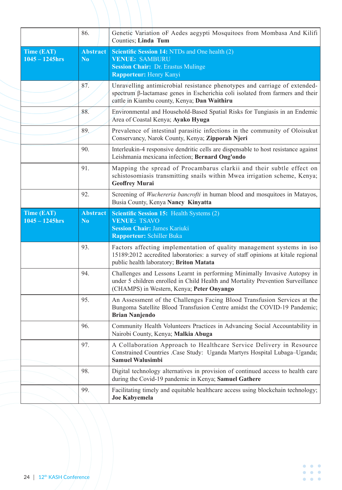|                                        | 86.                               | Genetic Variation oF Aedes aegypti Mosquitoes from Mombasa And Kilifi<br>Counties; Linda Tum                                                                                                                       |
|----------------------------------------|-----------------------------------|--------------------------------------------------------------------------------------------------------------------------------------------------------------------------------------------------------------------|
| <b>Time (EAT)</b><br>$1045 - 1245$ hrs | <b>Abstract</b><br>N <sub>0</sub> | <b>Scientific Session 14: NTDs and One health (2)</b><br><b>VENUE: SAMBURU</b><br><b>Session Chair: Dr. Erastus Mulinge</b><br><b>Rapporteur: Henry Kanyi</b>                                                      |
|                                        | 87.                               | Unravelling antimicrobial resistance phenotypes and carriage of extended-<br>spectrum $\beta$ -lactamase genes in Escherichia coli isolated from farmers and their<br>cattle in Kiambu county, Kenya; Dan Waithiru |
|                                        | 88.                               | Environmental and Household-Based Spatial Risks for Tungiasis in an Endemic<br>Area of Coastal Kenya; Ayako Hyuga                                                                                                  |
|                                        | 89.                               | Prevalence of intestinal parasitic infections in the community of Oloisukut<br>Conservancy, Narok County, Kenya; Zipporah Njeri                                                                                    |
|                                        | 90.                               | Interleukin-4 responsive dendritic cells are dispensable to host resistance against<br>Leishmania mexicana infection; Bernard Ong'ondo                                                                             |
|                                        | 91.                               | Mapping the spread of Procambarus clarkii and their subtle effect on<br>schistosomiasis transmitting snails within Mwea irrigation scheme, Kenya;<br><b>Geoffrey Murai</b>                                         |
|                                        | 92.                               | Screening of Wuchereria bancrofti in human blood and mosquitoes in Matayos,<br>Busia County, Kenya Nancy Kinyatta                                                                                                  |
| Time (EAT)<br>$1045 - 1245$ hrs        | Abstract<br>N <sub>o</sub>        | <b>Scientific Session 15: Health Systems (2)</b><br><b>VENUE: TSAVO</b><br><b>Session Chair: James Kariuki</b><br>Rapporteur: Schiller Buka                                                                        |
|                                        | 93.                               | Factors affecting implementation of quality management systems in iso<br>15189:2012 accredited laboratories: a survey of staff opinions at kitale regional<br>public health laboratory; Briton Matata              |
|                                        | 94.                               | Challenges and Lessons Learnt in performing Minimally Invasive Autopsy in<br>under 5 children enrolled in Child Health and Mortality Prevention Surveillance<br>(CHAMPS) in Western, Kenya; Peter Onyango          |
|                                        | 95.                               | An Assessment of the Challenges Facing Blood Transfusion Services at the<br>Bungoma Satellite Blood Transfusion Centre amidst the COVID-19 Pandemic;<br><b>Brian Nanjendo</b>                                      |
|                                        | 96.                               | Community Health Volunteers Practices in Advancing Social Accountability in<br>Nairobi County, Kenya; Malkia Abuga                                                                                                 |
|                                        | 97.                               | A Collaboration Approach to Healthcare Service Delivery in Resource<br>Constrained Countries .Case Study: Uganda Martyrs Hospital Lubaga-Uganda;<br><b>Samuel Walusimbi</b>                                        |
|                                        | 98.                               | Digital technology alternatives in provision of continued access to health care<br>during the Covid-19 pandemic in Kenya; Samuel Gathere                                                                           |
|                                        | 99.                               | Facilitating timely and equitable healthcare access using blockchain technology;<br><b>Joe Kabyemela</b>                                                                                                           |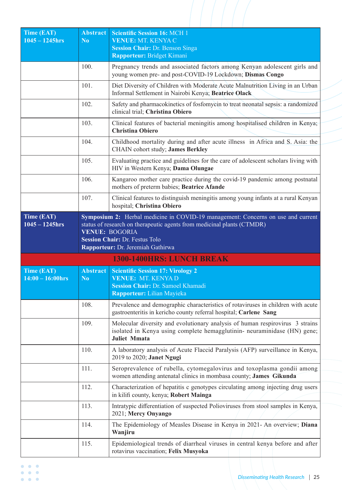| <b>Time (EAT)</b><br>$1045 - 1245$ hrs | <b>Abstract</b><br>N <sub>0</sub> | <b>Scientific Session 16: MCH 1</b><br><b>VENUE: MT. KENYA C</b><br><b>Session Chair: Dr. Benson Singa</b><br>Rapporteur: Bridget Kimani                                                                          |
|----------------------------------------|-----------------------------------|-------------------------------------------------------------------------------------------------------------------------------------------------------------------------------------------------------------------|
|                                        | 100.                              | Pregnancy trends and associated factors among Kenyan adolescent girls and<br>young women pre- and post-COVID-19 Lockdown; Dismas Congo                                                                            |
|                                        | 101.                              | Diet Diversity of Children with Moderate Acute Malnutrition Living in an Urban<br>Informal Settlement in Nairobi Kenya; Beatrice Olack                                                                            |
|                                        | 102.                              | Safety and pharmacokinetics of fosfomycin to treat neonatal sepsis: a randomized<br>clinical trial; Christina Obiero                                                                                              |
|                                        | 103.                              | Clinical features of bacterial meningitis among hospitalised children in Kenya;<br><b>Christina Obiero</b>                                                                                                        |
|                                        | 104.                              | Childhood mortality during and after acute illness in Africa and S. Asia: the<br>CHAIN cohort study; James Berkley                                                                                                |
|                                        | 105.                              | Evaluating practice and guidelines for the care of adolescent scholars living with<br>HIV in Western Kenya; Dama Olungae                                                                                          |
|                                        | 106.                              | Kangaroo mother care practice during the covid-19 pandemic among postnatal<br>mothers of preterm babies; Beatrice Afande                                                                                          |
|                                        | 107.                              | Clinical features to distinguish meningitis among young infants at a rural Kenyan<br>hospital; Christina Obiero                                                                                                   |
| $1045 - 1245$ hrs                      |                                   | status of research on therapeutic agents from medicinal plants (CTMDR)<br><b>VENUE: BOGORIA</b><br><b>Session Chair: Dr. Festus Tolo</b><br>Rapporteur: Dr. Jeremiah Gathirwa<br><b>1300-1400HRS: LUNCH BREAK</b> |
| <b>Time (EAT)</b>                      | <b>Abstract</b>                   | <b>Scientific Session 17: Virology 2</b>                                                                                                                                                                          |
| $14:00 - 16:00$ hrs                    | N <sub>0</sub>                    | VENUE: MT. KENYA D<br><b>Session Chair: Dr. Samoel Khamadi</b><br>Rapporteur: Lilian Mayieka                                                                                                                      |
|                                        | 108.                              | Prevalence and demographic characteristics of rotaviruses in children with acute<br>gastroenteritis in kericho county referral hospital; Carlene Sang                                                             |
|                                        | 109.                              | Molecular diversity and evolutionary analysis of human respirovirus 3 strains<br>isolated in Kenya using complete hemagglutinin- neuraminidase (HN) gene;<br><b>Juliet Mmata</b>                                  |
|                                        | 110.                              | A laboratory analysis of Acute Flaccid Paralysis (AFP) surveillance in Kenya,<br>2019 to 2020; Janet Ngugi                                                                                                        |
|                                        | 111.                              | Seroprevalence of rubella, cytomegalovirus and toxoplasma gondii among<br>women attending antenatal clinics in mombasa county; James Gikunda                                                                      |
|                                        | 112.                              | Characterization of hepatitis c genotypes circulating among injecting drug users<br>in kilifi county, kenya; Robert Mainga                                                                                        |
|                                        | 113.                              | Intratypic differentiation of suspected Polioviruses from stool samples in Kenya,<br>2021; Mercy Onyango                                                                                                          |
|                                        | 114.                              | The Epidemiology of Measles Disease in Kenya in 2021- An overview; Diana<br>Wanjiru                                                                                                                               |
|                                        | 115.                              | Epidemiological trends of diarrheal viruses in central kenya before and after<br>rotavirus vaccination; Felix Musyoka                                                                                             |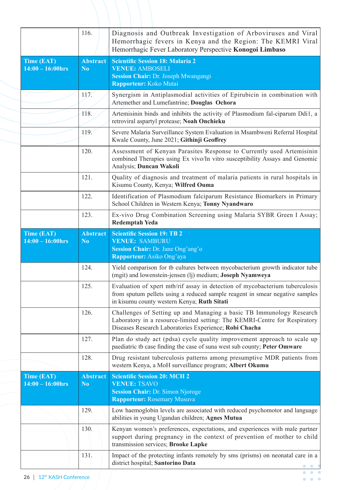|                                   | 116.                              | Diagnosis and Outbreak Investigation of Arboviruses and Viral<br>Hemorrhagic fevers in Kenya and the Region: The KEMRI Viral<br>Hemorrhagic Fever Laboratory Perspective Konogoi Limbaso                     |
|-----------------------------------|-----------------------------------|--------------------------------------------------------------------------------------------------------------------------------------------------------------------------------------------------------------|
| Time (EAT)<br>$14:00 - 16:00$ hrs | <b>Abstract</b><br>N <sub>0</sub> | <b>Scientific Session 18: Malaria 2</b><br><b>VENUE: AMBOSELI</b><br>Session Chair: Dr. Joseph Mwangangi<br>Rapporteur: Koko Mutai                                                                           |
|                                   | 117.                              | Synergism in Antiplasmodial activities of Epirubicin in combination with<br>Artemether and Lumefantrine; Douglas Ochora                                                                                      |
|                                   | 118.                              | Artemisinin binds and inhibits the activity of Plasmodium fal-ciparum Ddi1, a<br>retroviral aspartyl protease; Noah Onchieku                                                                                 |
|                                   | 119.                              | Severe Malaria Surveillance System Evaluation in Msambweni Referral Hospital<br>Kwale County, June 2021; Githinji Geoffrey                                                                                   |
|                                   | 120.                              | Assessment of Kenyan Parasites Response to Currently used Artemisinin<br>combined Therapies using Ex vivo/In vitro susceptibility Assays and Genomic<br>Analysis; Duncan Wakoli                              |
|                                   | 121.                              | Quality of diagnosis and treatment of malaria patients in rural hospitals in<br>Kisumu County, Kenya; Wilfred Ouma                                                                                           |
|                                   | 122.                              | Identification of Plasmodium falciparum Resistance Biomarkers in Primary<br>School Children in Western Kenya; Tonny Nyandwaro                                                                                |
|                                   | 123.                              | Ex-vivo Drug Combination Screening using Malaria SYBR Green I Assay;<br><b>Redemptah Yeda</b>                                                                                                                |
| Time (EAT)<br>$14:00 - 16:00$ hrs | <b>Abstract</b><br>N <sub>0</sub> | <b>Scientific Session 19: TB 2</b><br><b>VENUE: SAMBURU</b><br>Session Chair: Dr. Jane Ong'ang'o<br>Rapporteur: Asiko Ong'aya                                                                                |
|                                   | 124.                              | Yield comparison for tb cultures between mycobacterium growth indicator tube<br>(mgit) and lowenstein-jensen (lj) medium; Joseph Nyamweya                                                                    |
|                                   | 125.                              | Evaluation of xpert mtb/rif assay in detection of mycobacterium tuberculosis<br>from sputum pellets using a reduced sample reagent in smear negative samples<br>in kisumu county western Kenya; Ruth Sitati  |
|                                   | 126.                              | Challenges of Setting up and Managing a basic TB Immunology Research<br>Laboratory in a resource-limited setting: The KEMRI-Centre for Respiratory<br>Diseases Research Laboratories Experience; Robi Chacha |
|                                   | 127.                              | Plan do study act (pdsa) cycle quality improvement approach to scale up<br>paediatric tb case finding the case of suna west sub county; Peter Omware                                                         |
|                                   |                                   |                                                                                                                                                                                                              |
|                                   | 128.                              | Drug resistant tuberculosis patterns among presumptive MDR patients from<br>western Kenya, a MoH surveillance program; Albert Okumu                                                                          |
| Time (EAT)<br>$14:00 - 16:00$ hrs | <b>Abstract</b><br>N <sub>0</sub> | <b>Scientific Session 20: MCH 2</b><br><b>VENUE: TSAVO</b><br><b>Session Chair: Dr. Simon Njoroge</b><br><b>Rapporteur: Rosemary Musuva</b>                                                                  |
|                                   | 129.                              | Low haemoglobin levels are associated with reduced psychomotor and language<br>abilities in young Ugandan children; Agnes Mutua                                                                              |
|                                   | 130.                              | Kenyan women's preferences, expectations, and experiences with male partner<br>support during pregnancy in the context of prevention of mother to child<br>transmission services; Brooke Lapke               |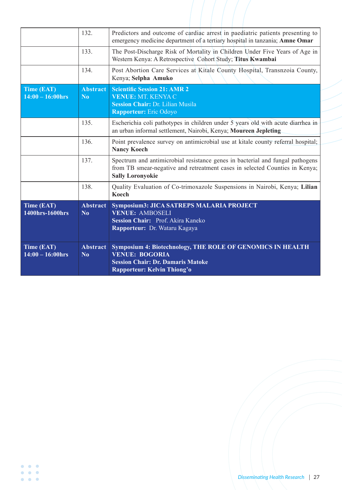|                                   | 132.                              | Predictors and outcome of cardiac arrest in paediatric patients presenting to<br>emergency medicine department of a tertiary hospital in tanzania; Amne Omar                            |
|-----------------------------------|-----------------------------------|-----------------------------------------------------------------------------------------------------------------------------------------------------------------------------------------|
|                                   | 133.                              | The Post-Discharge Risk of Mortality in Children Under Five Years of Age in<br>Western Kenya: A Retrospective Cohort Study; Titus Kwambai                                               |
|                                   | 134.                              | Post Abortion Care Services at Kitale County Hospital, Transnzoia County,<br>Kenya; Selpha Amuko                                                                                        |
| Time (EAT)<br>$14:00 - 16:00$ hrs | <b>Abstract</b><br>N <sub>0</sub> | <b>Scientific Session 21: AMR 2</b><br>VENUE: MT. KENYA C<br>Session Chair: Dr. Lilian Musila<br><b>Rapporteur:</b> Eric Odoyo                                                          |
|                                   | 135.                              | Escherichia coli pathotypes in children under 5 years old with acute diarrhea in<br>an urban informal settlement, Nairobi, Kenya; Moureen Jepleting                                     |
|                                   | 136.                              | Point prevalence survey on antimicrobial use at kitale county referral hospital;<br><b>Nancy Koech</b>                                                                                  |
|                                   | 137.                              | Spectrum and antimicrobial resistance genes in bacterial and fungal pathogens<br>from TB smear-negative and retreatment cases in selected Counties in Kenya;<br><b>Sally Loronyokie</b> |
|                                   | 138.                              | Quality Evaluation of Co-trimoxazole Suspensions in Nairobi, Kenya; Lilian<br><b>Koech</b>                                                                                              |
| Time (EAT)<br>1400hrs-1600hrs     | <b>Abstract</b><br>$\bf No$       | Symposium3: JICA SATREPS MALARIA PROJECT<br><b>VENUE: AMBOSELI</b><br>Session Chair: Prof. Akira Kaneko<br>Rapporteur: Dr. Wataru Kagaya                                                |
| Time (EAT)<br>$14:00 - 16:00$ hrs | <b>Abstract</b><br>N <sub>0</sub> | Symposium 4: Biotechnology, THE ROLE OF GENOMICS IN HEALTH<br><b>VENUE: BOGORIA</b><br><b>Session Chair: Dr. Damaris Matoke</b><br>Rapporteur: Kelvin Thiong'o                          |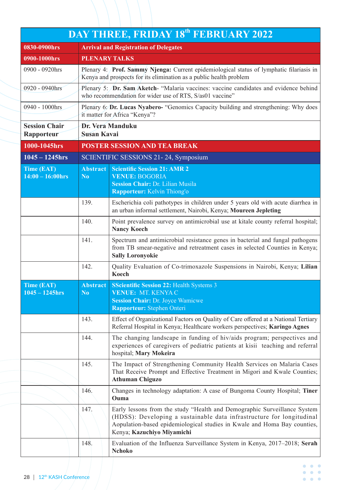|                                          |                                   | <b>DAY THREE, FRIDAY 18th FEBRUARY 2022</b>                                                                                                                                                                                                                 |
|------------------------------------------|-----------------------------------|-------------------------------------------------------------------------------------------------------------------------------------------------------------------------------------------------------------------------------------------------------------|
| 0830-0900hrs                             |                                   | <b>Arrival and Registration of Delegates</b>                                                                                                                                                                                                                |
| 0900-1000hrs                             | <b>PLENARY TALKS</b>              |                                                                                                                                                                                                                                                             |
| 0900 - 0920hrs                           |                                   | Plenary 4: <b>Prof. Sammy Njenga:</b> Current epidemiological status of lymphatic filariasis in<br>Kenya and prospects for its elimination as a public health problem                                                                                       |
| 0920 - 0940hrs                           |                                   | Plenary 5: <b>Dr. Sam Aketch</b> - "Malaria vaccines: vaccine candidates and evidence behind<br>who recommendation for wider use of RTS, S/as01 vaccine"                                                                                                    |
| 0940 - 1000hrs                           |                                   | Plenary 6: Dr. Lucas Nyabero- "Genomics Capacity building and strengthening: Why does<br>it matter for Africa "Kenya"?                                                                                                                                      |
| <b>Session Chair</b><br>Rapporteur       | <b>Susan Kavai</b>                | Dr. Vera Manduku                                                                                                                                                                                                                                            |
| 1000-1045hrs                             |                                   | <b>POSTER SESSION AND TEA BREAK</b>                                                                                                                                                                                                                         |
| $1045 - 1245$ hrs                        |                                   | SCIENTIFIC SESSIONS 21-24, Symposium                                                                                                                                                                                                                        |
| <b>Time (EAT)</b><br>$14:00 - 16:00$ hrs | <b>Abstract</b><br>N <sub>0</sub> | <b>Scientific Session 21: AMR 2</b><br><b>VENUE: BOGORIA</b><br>Session Chair: Dr. Lilian Musila<br>Rapporteur: Kelvin Thiong'o                                                                                                                             |
|                                          | 139.                              | Escherichia coli pathotypes in children under 5 years old with acute diarrhea in<br>an urban informal settlement, Nairobi, Kenya; Moureen Jepleting                                                                                                         |
|                                          | 140.                              | Point prevalence survey on antimicrobial use at kitale county referral hospital;<br><b>Nancy Koech</b>                                                                                                                                                      |
|                                          | 141.                              | Spectrum and antimicrobial resistance genes in bacterial and fungal pathogens<br>from TB smear-negative and retreatment cases in selected Counties in Kenya;<br><b>Sally Loronyokie</b>                                                                     |
|                                          | 142.                              | Quality Evaluation of Co-trimoxazole Suspensions in Nairobi, Kenya; Lilian<br>Koech                                                                                                                                                                         |
| Time (EAT)<br>$1045 - 1245$ hrs          | Abstract<br>N <sub>0</sub>        | <b>SScientific Session 22:</b> Health Systems 3<br>VENUE: MT. KENYA C<br><b>Session Chair: Dr. Joyce Wamicwe</b><br>Rapporteur: Stephen Onteri                                                                                                              |
|                                          | 143.                              | Effect of Organizational Factors on Quality of Care offered at a National Tertiary<br>Referral Hospital in Kenya; Healthcare workers perspectives; Karingo Agnes                                                                                            |
|                                          | 144.                              | The changing landscape in funding of hiv/aids program; perspectives and<br>experiences of caregivers of pediatric patients at kisii teaching and referral<br>hospital; Mary Mokeira                                                                         |
|                                          | 145.                              | The Impact of Strengthening Community Health Services on Malaria Cases<br>That Receive Prompt and Effective Treatment in Migori and Kwale Counties;<br><b>Athuman Chiguzo</b>                                                                               |
|                                          | 146.                              | Changes in technology adaptation: A case of Bungoma County Hospital; Tiner<br>Ouma                                                                                                                                                                          |
|                                          | 147.                              | Early lessons from the study "Health and Demographic Surveillance System<br>(HDSS): Developing a sustainable data infrastructure for longitudinal<br>Aopulation-based epidemiological studies in Kwale and Homa Bay counties,<br>Kenya; Kazuchiyo Miyamichi |
|                                          | 148.                              | Evaluation of the Influenza Surveillance System in Kenya, 2017–2018; Serah<br><b>Nchoko</b>                                                                                                                                                                 |
|                                          |                                   |                                                                                                                                                                                                                                                             |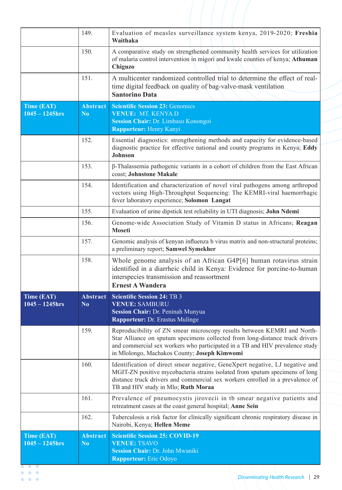| 150.<br>Chiguzo<br>151.<br>time digital feedback on quality of bag-valve-mask ventilation<br><b>Santorino Data</b><br><b>Abstract</b><br><b>Scientific Session 23: Genomics</b><br>Time (EAT)<br>$1045 - 1245$ hrs<br>N <sub>0</sub><br>VENUE: MT. KENYA D<br>Session Chair: Dr. Limbaso Konongoi<br><b>Rapporteur: Henry Kanyi</b><br>152.<br>Johnson<br>153.<br>coast; Johnstone Makale<br>154.<br>fever laboratory experience; Solomon Langat<br>155.<br>Evaluation of urine dipstick test reliability in UTI diagnosis; John Ndemi<br>156.<br><b>Moseti</b><br>157.<br>a preliminary report; Samwel Symekher<br>158.<br>interspecies transmission and reassortment<br><b>Ernest A Wandera</b><br><b>Abstract</b><br><b>Scientific Session 24: TB 3</b><br>Time (EAT)<br>$1045 - 1245$ hrs<br><b>VENUE: SAMBURU</b><br>N <sub>0</sub><br>Session Chair: Dr. Peninah Munyua<br><b>Rapporteur: Dr. Erastus Mulinge</b><br>159.<br>in Mlolongo, Machakos County; Joseph Kimwomi<br>160. | 149. | Evaluation of measles surveillance system kenya, 2019-2020; Freshia<br>Waithaka                                                                                                                                                               |
|-----------------------------------------------------------------------------------------------------------------------------------------------------------------------------------------------------------------------------------------------------------------------------------------------------------------------------------------------------------------------------------------------------------------------------------------------------------------------------------------------------------------------------------------------------------------------------------------------------------------------------------------------------------------------------------------------------------------------------------------------------------------------------------------------------------------------------------------------------------------------------------------------------------------------------------------------------------------------------------------|------|-----------------------------------------------------------------------------------------------------------------------------------------------------------------------------------------------------------------------------------------------|
|                                                                                                                                                                                                                                                                                                                                                                                                                                                                                                                                                                                                                                                                                                                                                                                                                                                                                                                                                                                         |      | A comparative study on strengthened community health services for utilization<br>of malaria control intervention in migori and kwale counties of kenya; Athuman                                                                               |
|                                                                                                                                                                                                                                                                                                                                                                                                                                                                                                                                                                                                                                                                                                                                                                                                                                                                                                                                                                                         |      | A multicenter randomized controlled trial to determine the effect of real-                                                                                                                                                                    |
|                                                                                                                                                                                                                                                                                                                                                                                                                                                                                                                                                                                                                                                                                                                                                                                                                                                                                                                                                                                         |      |                                                                                                                                                                                                                                               |
|                                                                                                                                                                                                                                                                                                                                                                                                                                                                                                                                                                                                                                                                                                                                                                                                                                                                                                                                                                                         |      | Essential diagnostics: strengthening methods and capacity for evidence-based<br>diagnostic practice for effective national and county programs in Kenya; Eddy                                                                                 |
|                                                                                                                                                                                                                                                                                                                                                                                                                                                                                                                                                                                                                                                                                                                                                                                                                                                                                                                                                                                         |      | β-Thalassemia pathogenic variants in a cohort of children from the East African                                                                                                                                                               |
|                                                                                                                                                                                                                                                                                                                                                                                                                                                                                                                                                                                                                                                                                                                                                                                                                                                                                                                                                                                         |      | Identification and characterization of novel viral pathogens among arthropod<br>vectors using High-Throughput Sequencing: The KEMRI-viral haemorrhagic                                                                                        |
|                                                                                                                                                                                                                                                                                                                                                                                                                                                                                                                                                                                                                                                                                                                                                                                                                                                                                                                                                                                         |      |                                                                                                                                                                                                                                               |
|                                                                                                                                                                                                                                                                                                                                                                                                                                                                                                                                                                                                                                                                                                                                                                                                                                                                                                                                                                                         |      | Genome-wide Association Study of Vitamin D status in Africans; Reagan                                                                                                                                                                         |
|                                                                                                                                                                                                                                                                                                                                                                                                                                                                                                                                                                                                                                                                                                                                                                                                                                                                                                                                                                                         |      | Genomic analysis of kenyan influenza b virus matrix and non-structural proteins;                                                                                                                                                              |
|                                                                                                                                                                                                                                                                                                                                                                                                                                                                                                                                                                                                                                                                                                                                                                                                                                                                                                                                                                                         |      | Whole genome analysis of an African G4P[6] human rotavirus strain<br>identified in a diarrheic child in Kenya: Evidence for porcine-to-human                                                                                                  |
|                                                                                                                                                                                                                                                                                                                                                                                                                                                                                                                                                                                                                                                                                                                                                                                                                                                                                                                                                                                         |      |                                                                                                                                                                                                                                               |
|                                                                                                                                                                                                                                                                                                                                                                                                                                                                                                                                                                                                                                                                                                                                                                                                                                                                                                                                                                                         |      |                                                                                                                                                                                                                                               |
| TB and HIV study in Mlo; Ruth Moraa                                                                                                                                                                                                                                                                                                                                                                                                                                                                                                                                                                                                                                                                                                                                                                                                                                                                                                                                                     |      | Reproducibility of ZN smear microscopy results between KEMRI and North-<br>Star Alliance on sputum specimens collected from long-distance truck drivers<br>and commercial sex workers who participated in a TB and HIV prevalence study       |
| 161.<br>retreatment cases at the coast general hospital; Anne Sein                                                                                                                                                                                                                                                                                                                                                                                                                                                                                                                                                                                                                                                                                                                                                                                                                                                                                                                      |      | Identification of direct smear negative, GeneXpert negative, LJ negative and<br>MGIT-ZN positive mycobacteria strains isolated from sputum specimens of long<br>distance truck drivers and commercial sex workers enrolled in a prevalence of |
| 162.<br>Nairobi, Kenya; Hellen Meme                                                                                                                                                                                                                                                                                                                                                                                                                                                                                                                                                                                                                                                                                                                                                                                                                                                                                                                                                     |      | Prevalence of pneumocystis jirovecii in tb smear negative patients and                                                                                                                                                                        |
| Time (EAT)<br><b>Scientific Session 25: COVID-19</b><br><b>Abstract</b>                                                                                                                                                                                                                                                                                                                                                                                                                                                                                                                                                                                                                                                                                                                                                                                                                                                                                                                 |      | Tuberculosis a risk factor for clinically significant chronic respiratory disease in                                                                                                                                                          |
| <b>VENUE: TSAVO</b><br>$1045 - 1245$ hrs<br>N <sub>0</sub><br>Session Chair: Dr. John Mwaniki<br><b>Rapporteur:</b> Eric Odoyo                                                                                                                                                                                                                                                                                                                                                                                                                                                                                                                                                                                                                                                                                                                                                                                                                                                          |      |                                                                                                                                                                                                                                               |

 $\bullet\hspace{0.1cm} \bullet\hspace{0.1cm}\bullet\hspace{0.1cm} \bullet$  $\bullet$   $\bullet$   $\bullet$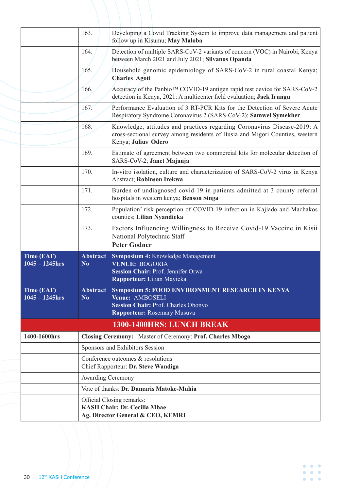|                                                                           | Official Closing remarks:<br><b>KASH Chair: Dr. Cecilia Mbae</b><br>Ag. Director General & CEO, KEMRI |                                                                                                                                                                                 |  |  |  |
|---------------------------------------------------------------------------|-------------------------------------------------------------------------------------------------------|---------------------------------------------------------------------------------------------------------------------------------------------------------------------------------|--|--|--|
|                                                                           | <b>Awarding Ceremony</b><br>Vote of thanks: Dr. Damaris Matoke-Muhia                                  |                                                                                                                                                                                 |  |  |  |
|                                                                           | Chief Rapporteur: Dr. Steve Wandiga                                                                   |                                                                                                                                                                                 |  |  |  |
|                                                                           | Conference outcomes & resolutions                                                                     |                                                                                                                                                                                 |  |  |  |
|                                                                           | Sponsors and Exhibitors Session                                                                       |                                                                                                                                                                                 |  |  |  |
| 1400-1600hrs<br>Closing Ceremony: Master of Ceremony: Prof. Charles Mbogo |                                                                                                       |                                                                                                                                                                                 |  |  |  |
| 1300-1400HRS: LUNCH BREAK                                                 |                                                                                                       |                                                                                                                                                                                 |  |  |  |
| <b>Time (EAT)</b><br>$1045 - 1245$ hrs                                    | <b>Abstract</b><br>N <sub>0</sub>                                                                     | <b>Symposium 5: FOOD ENVIRONMENT RESEARCH IN KENYA</b><br>Venue: AMBOSELI<br><b>Session Chair: Prof. Charles Obonyo</b><br><b>Rapporteur: Rosemary Musuva</b>                   |  |  |  |
| Time (EAT)<br>$1045 - 1245$ hrs                                           | <b>Abstract</b><br>N <sub>0</sub>                                                                     | Symposium 4: Knowledge Management<br><b>VENUE: BOGORIA</b><br>Session Chair: Prof. Jennifer Orwa<br>Rapporteur: Lilian Mayieka                                                  |  |  |  |
|                                                                           | 173.                                                                                                  | Factors Influencing Willingness to Receive Covid-19 Vaccine in Kisii<br>National Polytechnic Staff<br><b>Peter Godner</b>                                                       |  |  |  |
|                                                                           | 172.                                                                                                  | Population' risk perception of COVID-19 infection in Kajiado and Machakos<br>counties; Lilian Nyandieka                                                                         |  |  |  |
|                                                                           | 171.                                                                                                  | Burden of undiagnosed covid-19 in patients admitted at 3 county referral<br>hospitals in western kenya; Benson Singa                                                            |  |  |  |
|                                                                           | 170.                                                                                                  | In-vitro isolation, culture and characterization of SARS-CoV-2 virus in Kenya<br><b>Abstract</b> ; Robinson Irekwa                                                              |  |  |  |
|                                                                           | 169.                                                                                                  | Estimate of agreement between two commercial kits for molecular detection of<br>SARS-CoV-2; Janet Majanja                                                                       |  |  |  |
|                                                                           | 168.                                                                                                  | Knowledge, attitudes and practices regarding Coronavirus Disease-2019: A<br>cross-sectional survey among residents of Busia and Migori Counties, western<br>Kenya; Julius Odero |  |  |  |
|                                                                           | 167.                                                                                                  | Performance Evaluation of 3 RT-PCR Kits for the Detection of Severe Acute<br>Respiratory Syndrome Coronavirus 2 (SARS-CoV-2); Samwel Symekher                                   |  |  |  |
|                                                                           | 166.                                                                                                  | Accuracy of the Panbio™ COVID-19 antigen rapid test device for SARS-CoV-2<br>detection in Kenya, 2021: A multicenter field evaluation; Jack Irungu                              |  |  |  |
|                                                                           | 165.                                                                                                  | Household genomic epidemiology of SARS-CoV-2 in rural coastal Kenya;<br><b>Charles Agoti</b>                                                                                    |  |  |  |
|                                                                           | 164.                                                                                                  | Detection of multiple SARS-CoV-2 variants of concern (VOC) in Nairobi, Kenya<br>between March 2021 and July 2021; Silvanos Opanda                                               |  |  |  |
|                                                                           | 163.                                                                                                  | Developing a Covid Tracking System to improve data management and patient<br>follow up in Kisumu; May Maloba                                                                    |  |  |  |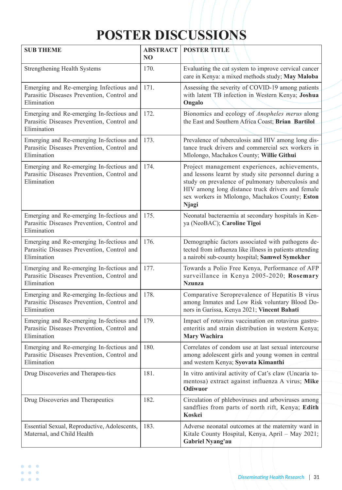## **POSTER DISCUSSIONS**

| <b>SUB THEME</b>                                                                                      | <b>ABSTRACT</b><br>N <sub>O</sub> | <b>POSTER TITLE</b>                                                                                                                                                                                                                                                              |
|-------------------------------------------------------------------------------------------------------|-----------------------------------|----------------------------------------------------------------------------------------------------------------------------------------------------------------------------------------------------------------------------------------------------------------------------------|
| <b>Strengthening Health Systems</b>                                                                   | 170.                              | Evaluating the cat system to improve cervical cancer<br>care in Kenya: a mixed methods study; May Maloba                                                                                                                                                                         |
| Emerging and Re-emerging Infectious and<br>Parasitic Diseases Prevention, Control and<br>Elimination  | 171.                              | Assessing the severity of COVID-19 among patients<br>with latent TB infection in Western Kenya; Joshua<br>Ongalo                                                                                                                                                                 |
| Emerging and Re-emerging In-fectious and<br>Parasitic Diseases Prevention, Control and<br>Elimination | 172.                              | Bionomics and ecology of Anopheles merus along<br>the East and Southern Africa Coast; Brian Bartilol                                                                                                                                                                             |
| Emerging and Re-emerging In-fectious and<br>Parasitic Diseases Prevention, Control and<br>Elimination | 173.                              | Prevalence of tuberculosis and HIV among long dis-<br>tance truck drivers and commercial sex workers in<br>Mlolongo, Machakos County; Willie Githui                                                                                                                              |
| Emerging and Re-emerging In-fectious and<br>Parasitic Diseases Prevention, Control and<br>Elimination | 174.                              | Project management experiences, achievements,<br>and lessons learnt by study site personnel during a<br>study on prevalence of pulmonary tuberculosis and<br>HIV among long distance truck drivers and female<br>sex workers in Mlolongo, Machakos County; Eston<br><b>Njagi</b> |
| Emerging and Re-emerging In-fectious and<br>Parasitic Diseases Prevention, Control and<br>Elimination | 175.                              | Neonatal bacteraemia at secondary hospitals in Ken-<br>ya (NeoBAC); Caroline Tigoi                                                                                                                                                                                               |
| Emerging and Re-emerging In-fectious and<br>Parasitic Diseases Prevention, Control and<br>Elimination | 176.                              | Demographic factors associated with pathogens de-<br>tected from influenza like illness in patients attending<br>a nairobi sub-county hospital; Samwel Symekher                                                                                                                  |
| Emerging and Re-emerging In-fectious and<br>Parasitic Diseases Prevention, Control and<br>Elimination | 177.                              | Towards a Polio Free Kenya, Performance of AFP<br>surveillance in Kenya 2005-2020; Rosemary<br><b>Nzunza</b>                                                                                                                                                                     |
| Emerging and Re-emerging In-fectious and<br>Parasitic Diseases Prevention, Control and<br>Elimination | 178.                              | Comparative Seroprevalence of Hepatitis B virus<br>among Inmates and Low Risk voluntary Blood Do-<br>nors in Garissa, Kenya 2021; Vincent Bahati                                                                                                                                 |
| Emerging and Re-emerging In-fectious and<br>Parasitic Diseases Prevention, Control and<br>Elimination | 179.                              | Impact of rotavirus vaccination on rotavirus gastro-<br>enteritis and strain distribution in western Kenya;<br><b>Mary Wachira</b>                                                                                                                                               |
| Emerging and Re-emerging In-fectious and<br>Parasitic Diseases Prevention, Control and<br>Elimination | 180.                              | Correlates of condom use at last sexual intercourse<br>among adolescent girls and young women in central<br>and western Kenya; Syovata Kimanthi                                                                                                                                  |
| Drug Discoveries and Therapeu-tics                                                                    | 181.                              | In vitro antiviral activity of Cat's claw (Uncaria to-<br>mentosa) extract against influenza A virus; Mike<br><b>Odiwuor</b>                                                                                                                                                     |
| Drug Discoveries and Therapeutics                                                                     | 182.                              | Circulation of phleboviruses and arboviruses among<br>sandflies from parts of north rift, Kenya; Edith<br>Koskei                                                                                                                                                                 |
| Essential Sexual, Reproductive, Adolescents,<br>Maternal, and Child Health                            | 183.                              | Adverse neonatal outcomes at the maternity ward in<br>Kitale County Hospital, Kenya, April - May 2021;<br><b>Gabriel Nyang'au</b>                                                                                                                                                |